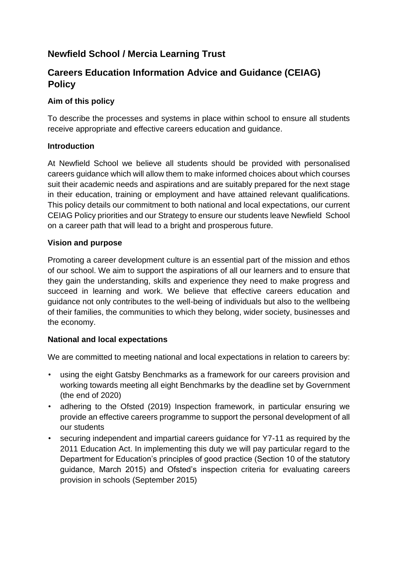# **Newfield School / Mercia Learning Trust**

## **Careers Education Information Advice and Guidance (CEIAG) Policy**

#### **Aim of this policy**

To describe the processes and systems in place within school to ensure all students receive appropriate and effective careers education and guidance.

#### **Introduction**

At Newfield School we believe all students should be provided with personalised careers guidance which will allow them to make informed choices about which courses suit their academic needs and aspirations and are suitably prepared for the next stage in their education, training or employment and have attained relevant qualifications. This policy details our commitment to both national and local expectations, our current CEIAG Policy priorities and our Strategy to ensure our students leave Newfield School on a career path that will lead to a bright and prosperous future.

#### **Vision and purpose**

Promoting a career development culture is an essential part of the mission and ethos of our school. We aim to support the aspirations of all our learners and to ensure that they gain the understanding, skills and experience they need to make progress and succeed in learning and work. We believe that effective careers education and guidance not only contributes to the well-being of individuals but also to the wellbeing of their families, the communities to which they belong, wider society, businesses and the economy.

#### **National and local expectations**

We are committed to meeting national and local expectations in relation to careers by:

- using the eight Gatsby Benchmarks as a framework for our careers provision and working towards meeting all eight Benchmarks by the deadline set by Government (the end of 2020)
- adhering to the Ofsted (2019) Inspection framework, in particular ensuring we provide an effective careers programme to support the personal development of all our students
- securing independent and impartial careers guidance for Y7-11 as required by the 2011 Education Act. In implementing this duty we will pay particular regard to the Department for Education's principles of good practice (Section 10 of the statutory guidance, March 2015) and Ofsted's inspection criteria for evaluating careers provision in schools (September 2015)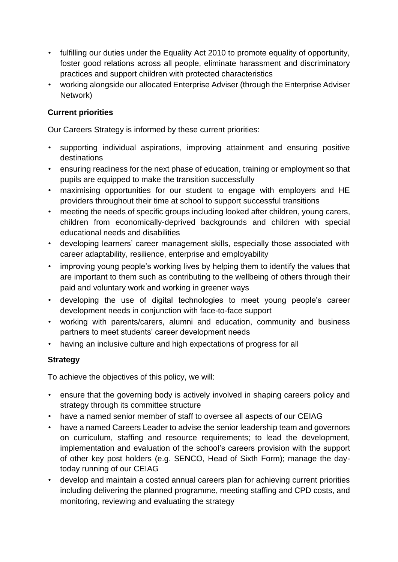- fulfilling our duties under the Equality Act 2010 to promote equality of opportunity, foster good relations across all people, eliminate harassment and discriminatory practices and support children with protected characteristics
- working alongside our allocated Enterprise Adviser (through the Enterprise Adviser Network)

#### **Current priorities**

Our Careers Strategy is informed by these current priorities:

- supporting individual aspirations, improving attainment and ensuring positive destinations
- ensuring readiness for the next phase of education, training or employment so that pupils are equipped to make the transition successfully
- maximising opportunities for our student to engage with employers and HE providers throughout their time at school to support successful transitions
- meeting the needs of specific groups including looked after children, young carers, children from economically-deprived backgrounds and children with special educational needs and disabilities
- developing learners' career management skills, especially those associated with career adaptability, resilience, enterprise and employability
- improving young people's working lives by helping them to identify the values that are important to them such as contributing to the wellbeing of others through their paid and voluntary work and working in greener ways
- developing the use of digital technologies to meet young people's career development needs in conjunction with face-to-face support
- working with parents/carers, alumni and education, community and business partners to meet students' career development needs
- having an inclusive culture and high expectations of progress for all

### **Strategy**

To achieve the objectives of this policy, we will:

- ensure that the governing body is actively involved in shaping careers policy and strategy through its committee structure
- have a named senior member of staff to oversee all aspects of our CEIAG
- have a named Careers Leader to advise the senior leadership team and governors on curriculum, staffing and resource requirements; to lead the development, implementation and evaluation of the school's careers provision with the support of other key post holders (e.g. SENCO, Head of Sixth Form); manage the daytoday running of our CEIAG
- develop and maintain a costed annual careers plan for achieving current priorities including delivering the planned programme, meeting staffing and CPD costs, and monitoring, reviewing and evaluating the strategy